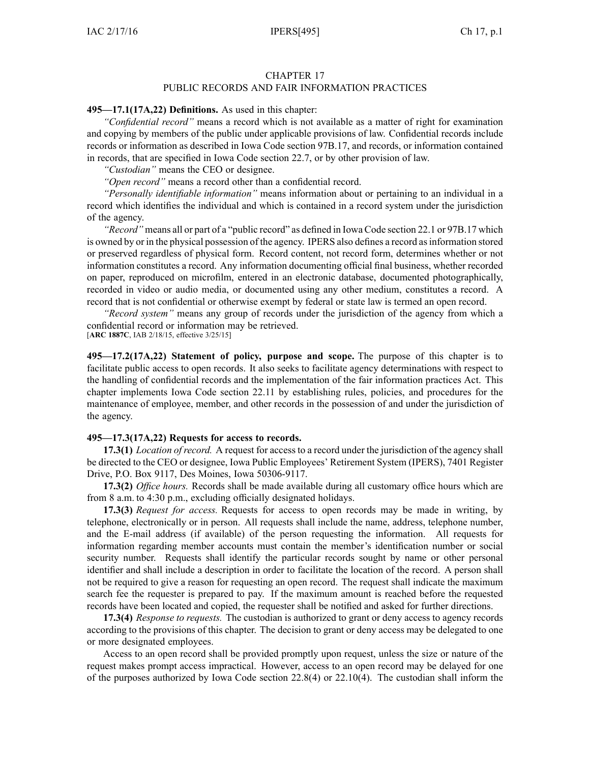# CHAPTER 17

# PUBLIC RECORDS AND FAIR INFORMATION PRACTICES

#### **495—17.1(17A,22) Definitions.** As used in this chapter:

*"Confidential record"* means <sup>a</sup> record which is not available as <sup>a</sup> matter of right for examination and copying by members of the public under applicable provisions of law. Confidential records include records or information as described in Iowa Code section [97B.17](https://www.legis.iowa.gov/docs/ico/section/97B.17.pdf), and records, or information contained in records, that are specified in Iowa Code section [22.7](https://www.legis.iowa.gov/docs/ico/section/22.7.pdf), or by other provision of law.

*"Custodian"* means the CEO or designee.

*"Open record"* means <sup>a</sup> record other than <sup>a</sup> confidential record.

*"Personally identifiable information"* means information about or pertaining to an individual in <sup>a</sup> record which identifies the individual and which is contained in <sup>a</sup> record system under the jurisdiction of the agency.

*"Record"* means all or par<sup>t</sup> of <sup>a</sup> "public record" as defined in Iowa Code section [22.1](https://www.legis.iowa.gov/docs/ico/section/22.1.pdf) or [97B.17](https://www.legis.iowa.gov/docs/ico/section/97B.17.pdf) which is owned by or in the physical possession of the agency. IPERS also defines a record as information stored or preserved regardless of physical form. Record content, not record form, determines whether or not information constitutes <sup>a</sup> record. Any information documenting official final business, whether recorded on paper, reproduced on microfilm, entered in an electronic database, documented photographically, recorded in video or audio media, or documented using any other medium, constitutes <sup>a</sup> record. A record that is not confidential or otherwise exemp<sup>t</sup> by federal or state law is termed an open record.

*"Record system"* means any group of records under the jurisdiction of the agency from which <sup>a</sup> confidential record or information may be retrieved. [**ARC 1887C**, IAB 2/18/15, effective 3/25/15]

**495—17.2(17A,22) Statement of policy, purpose and scope.** The purpose of this chapter is to facilitate public access to open records. It also seeks to facilitate agency determinations with respec<sup>t</sup> to the handling of confidential records and the implementation of the fair information practices Act. This chapter implements Iowa Code section [22.11](https://www.legis.iowa.gov/docs/ico/section/22.11.pdf) by establishing rules, policies, and procedures for the maintenance of employee, member, and other records in the possession of and under the jurisdiction of the agency.

#### **495—17.3(17A,22) Requests for access to records.**

**17.3(1)** *Location of record.* A reques<sup>t</sup> for access to <sup>a</sup> record under the jurisdiction of the agency shall be directed to the CEO or designee, Iowa Public Employees' Retirement System (IPERS), 7401 Register Drive, P.O. Box 9117, Des Moines, Iowa 50306-9117.

**17.3(2)** *Office hours.* Records shall be made available during all customary office hours which are from 8 a.m. to 4:30 p.m., excluding officially designated holidays.

**17.3(3)** *Request for access.* Requests for access to open records may be made in writing, by telephone, electronically or in person. All requests shall include the name, address, telephone number, and the E-mail address (if available) of the person requesting the information. All requests for information regarding member accounts must contain the member's identification number or social security number. Requests shall identify the particular records sought by name or other personal identifier and shall include <sup>a</sup> description in order to facilitate the location of the record. A person shall not be required to give <sup>a</sup> reason for requesting an open record. The reques<sup>t</sup> shall indicate the maximum search fee the requester is prepared to pay. If the maximum amount is reached before the requested records have been located and copied, the requester shall be notified and asked for further directions.

**17.3(4)** *Response to requests.* The custodian is authorized to gran<sup>t</sup> or deny access to agency records according to the provisions of this chapter. The decision to gran<sup>t</sup> or deny access may be delegated to one or more designated employees.

Access to an open record shall be provided promptly upon request, unless the size or nature of the reques<sup>t</sup> makes promp<sup>t</sup> access impractical. However, access to an open record may be delayed for one of the purposes authorized by Iowa Code section [22.8\(4\)](https://www.legis.iowa.gov/docs/ico/section/22.8.pdf) or [22.10\(4\)](https://www.legis.iowa.gov/docs/ico/section/22.10.pdf). The custodian shall inform the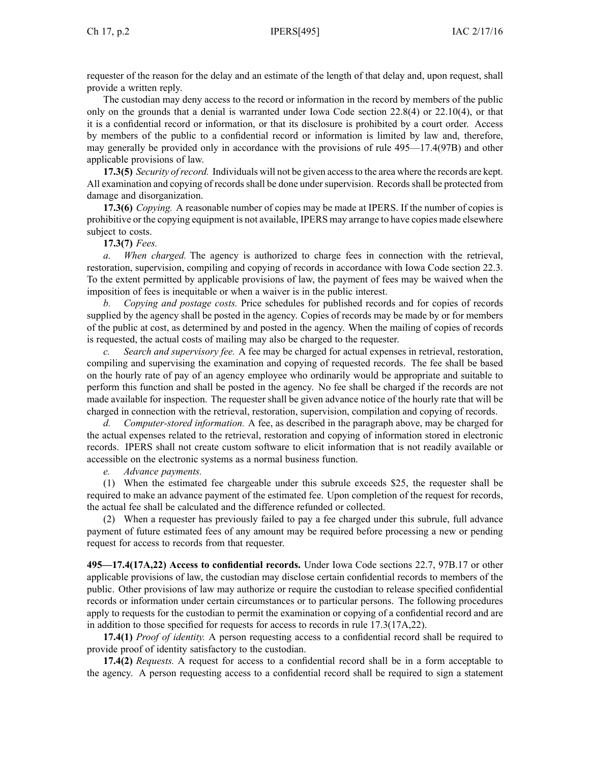requester of the reason for the delay and an estimate of the length of that delay and, upon request, shall provide <sup>a</sup> written reply.

The custodian may deny access to the record or information in the record by members of the public only on the grounds that <sup>a</sup> denial is warranted under Iowa Code section [22.8\(4\)](https://www.legis.iowa.gov/docs/ico/section/22.8.pdf) or [22.10\(4\)](https://www.legis.iowa.gov/docs/ico/section/22.10.pdf), or that it is <sup>a</sup> confidential record or information, or that its disclosure is prohibited by <sup>a</sup> court order. Access by members of the public to <sup>a</sup> confidential record or information is limited by law and, therefore, may generally be provided only in accordance with the provisions of rule 495—17.4(97B) and other applicable provisions of law.

**17.3(5)** *Security ofrecord.* Individuals will not be given accessto the area where the records are kept. All examination and copying of records shall be done under supervision. Records shall be protected from damage and disorganization.

**17.3(6)** *Copying.* A reasonable number of copies may be made at IPERS. If the number of copies is prohibitive or the copying equipment is not available, IPERS may arrange to have copies made elsewhere subject to costs.

**17.3(7)** *Fees.*

*a. When charged.* The agency is authorized to charge fees in connection with the retrieval, restoration, supervision, compiling and copying of records in accordance with Iowa Code section [22.3](https://www.legis.iowa.gov/docs/ico/section/22.3.pdf). To the extent permitted by applicable provisions of law, the paymen<sup>t</sup> of fees may be waived when the imposition of fees is inequitable or when <sup>a</sup> waiver is in the public interest.

*b. Copying and postage costs.* Price schedules for published records and for copies of records supplied by the agency shall be posted in the agency. Copies of records may be made by or for members of the public at cost, as determined by and posted in the agency. When the mailing of copies of records is requested, the actual costs of mailing may also be charged to the requester.

*c. Search and supervisory fee.* A fee may be charged for actual expenses in retrieval, restoration, compiling and supervising the examination and copying of requested records. The fee shall be based on the hourly rate of pay of an agency employee who ordinarily would be appropriate and suitable to perform this function and shall be posted in the agency. No fee shall be charged if the records are not made available for inspection. The requester shall be given advance notice of the hourly rate that will be charged in connection with the retrieval, restoration, supervision, compilation and copying of records.

*d. Computer-stored information.* A fee, as described in the paragraph above, may be charged for the actual expenses related to the retrieval, restoration and copying of information stored in electronic records. IPERS shall not create custom software to elicit information that is not readily available or accessible on the electronic systems as <sup>a</sup> normal business function.

*e. Advance payments.*

(1) When the estimated fee chargeable under this subrule exceeds \$25, the requester shall be required to make an advance paymen<sup>t</sup> of the estimated fee. Upon completion of the reques<sup>t</sup> for records, the actual fee shall be calculated and the difference refunded or collected.

(2) When <sup>a</sup> requester has previously failed to pay <sup>a</sup> fee charged under this subrule, full advance paymen<sup>t</sup> of future estimated fees of any amount may be required before processing <sup>a</sup> new or pending reques<sup>t</sup> for access to records from that requester.

**495—17.4(17A,22) Access to confidential records.** Under Iowa Code sections [22.7](https://www.legis.iowa.gov/docs/ico/section/22.7.pdf), [97B.17](https://www.legis.iowa.gov/docs/ico/section/97B.17.pdf) or other applicable provisions of law, the custodian may disclose certain confidential records to members of the public. Other provisions of law may authorize or require the custodian to release specified confidential records or information under certain circumstances or to particular persons. The following procedures apply to requests for the custodian to permit the examination or copying of <sup>a</sup> confidential record and are in addition to those specified for requests for access to records in rule 17.3(17A,22).

**17.4(1)** *Proof of identity.* A person requesting access to <sup>a</sup> confidential record shall be required to provide proof of identity satisfactory to the custodian.

**17.4(2)** *Requests.* A reques<sup>t</sup> for access to <sup>a</sup> confidential record shall be in <sup>a</sup> form acceptable to the agency. A person requesting access to <sup>a</sup> confidential record shall be required to sign <sup>a</sup> statement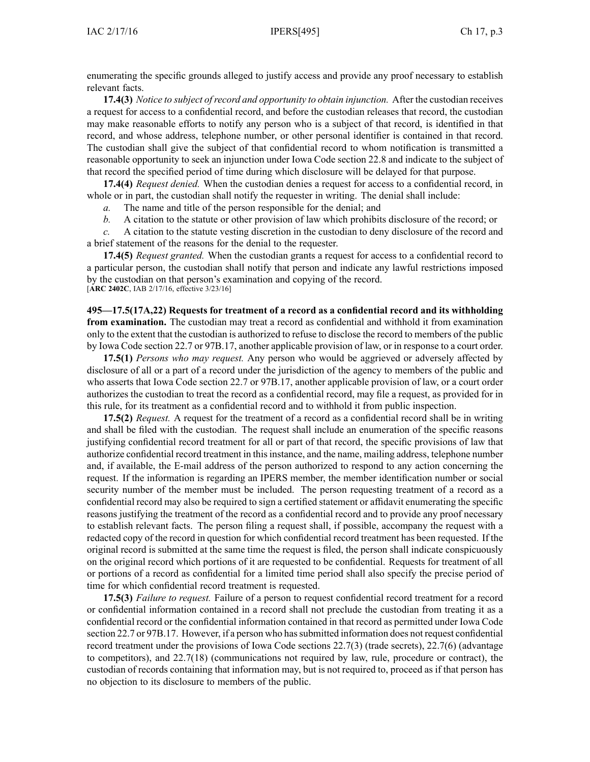enumerating the specific grounds alleged to justify access and provide any proof necessary to establish relevant facts.

**17.4(3)** *Notice to subject ofrecord and opportunity to obtain injunction.* After the custodian receives <sup>a</sup> reques<sup>t</sup> for access to <sup>a</sup> confidential record, and before the custodian releases that record, the custodian may make reasonable efforts to notify any person who is <sup>a</sup> subject of that record, is identified in that record, and whose address, telephone number, or other personal identifier is contained in that record. The custodian shall give the subject of that confidential record to whom notification is transmitted <sup>a</sup> reasonable opportunity to seek an injunction under Iowa Code section [22.8](https://www.legis.iowa.gov/docs/ico/section/22.8.pdf) and indicate to the subject of that record the specified period of time during which disclosure will be delayed for that purpose.

**17.4(4)** *Request denied.* When the custodian denies <sup>a</sup> reques<sup>t</sup> for access to <sup>a</sup> confidential record, in whole or in part, the custodian shall notify the requester in writing. The denial shall include:

*a.* The name and title of the person responsible for the denial; and

*b.* A citation to the statute or other provision of law which prohibits disclosure of the record; or

*c.* A citation to the statute vesting discretion in the custodian to deny disclosure of the record and <sup>a</sup> brief statement of the reasons for the denial to the requester.

**17.4(5)** *Request granted.* When the custodian grants <sup>a</sup> reques<sup>t</sup> for access to <sup>a</sup> confidential record to <sup>a</sup> particular person, the custodian shall notify that person and indicate any lawful restrictions imposed by the custodian on that person's examination and copying of the record. [**ARC 2402C**, IAB 2/17/16, effective 3/23/16]

**495—17.5(17A,22) Requests for treatment of <sup>a</sup> record as <sup>a</sup> confidential record and its withholding from examination.** The custodian may treat <sup>a</sup> record as confidential and withhold it from examination only to the extent that the custodian is authorized to refuse to disclose the record to members of the public by Iowa Code section [22.7](https://www.legis.iowa.gov/docs/ico/section/22.7.pdf) or [97B.17](https://www.legis.iowa.gov/docs/ico/section/97B.17.pdf), another applicable provision of law, or in response to <sup>a</sup> court order.

**17.5(1)** *Persons who may request.* Any person who would be aggrieved or adversely affected by disclosure of all or <sup>a</sup> par<sup>t</sup> of <sup>a</sup> record under the jurisdiction of the agency to members of the public and who asserts that Iowa Code section [22.7](https://www.legis.iowa.gov/docs/ico/section/22.7.pdf) or [97B.17](https://www.legis.iowa.gov/docs/ico/section/97B.17.pdf), another applicable provision of law, or <sup>a</sup> court order authorizes the custodian to treat the record as <sup>a</sup> confidential record, may file <sup>a</sup> request, as provided for in this rule, for its treatment as <sup>a</sup> confidential record and to withhold it from public inspection.

**17.5(2)** *Request.* A reques<sup>t</sup> for the treatment of <sup>a</sup> record as <sup>a</sup> confidential record shall be in writing and shall be filed with the custodian. The reques<sup>t</sup> shall include an enumeration of the specific reasons justifying confidential record treatment for all or par<sup>t</sup> of that record, the specific provisions of law that authorize confidential record treatment in thisinstance, and the name, mailing address, telephone number and, if available, the E-mail address of the person authorized to respond to any action concerning the request. If the information is regarding an IPERS member, the member identification number or social security number of the member must be included. The person requesting treatment of <sup>a</sup> record as <sup>a</sup> confidential record may also be required to sign <sup>a</sup> certified statement or affidavit enumerating the specific reasons justifying the treatment of the record as <sup>a</sup> confidential record and to provide any proof necessary to establish relevant facts. The person filing <sup>a</sup> reques<sup>t</sup> shall, if possible, accompany the reques<sup>t</sup> with <sup>a</sup> redacted copy of the record in question for which confidential record treatment has been requested. If the original record is submitted at the same time the reques<sup>t</sup> is filed, the person shall indicate conspicuously on the original record which portions of it are requested to be confidential. Requests for treatment of all or portions of <sup>a</sup> record as confidential for <sup>a</sup> limited time period shall also specify the precise period of time for which confidential record treatment is requested.

**17.5(3)** *Failure to request.* Failure of <sup>a</sup> person to reques<sup>t</sup> confidential record treatment for <sup>a</sup> record or confidential information contained in <sup>a</sup> record shall not preclude the custodian from treating it as <sup>a</sup> confidential record or the confidential information contained in that record as permitted under Iowa Code section [22.7](https://www.legis.iowa.gov/docs/ico/section/22.7.pdf) or [97B.17](https://www.legis.iowa.gov/docs/ico/section/97B.17.pdf). However, if a person who has submitted information does not request confidential record treatment under the provisions of Iowa Code sections [22.7\(3\)](https://www.legis.iowa.gov/docs/ico/section/22.7.pdf) (trade secrets), [22.7\(6\)](https://www.legis.iowa.gov/docs/ico/section/22.7.pdf) (advantage to competitors), and [22.7\(18\)](https://www.legis.iowa.gov/docs/ico/section/22.7.pdf) (communications not required by law, rule, procedure or contract), the custodian of records containing that information may, but is not required to, proceed as if that person has no objection to its disclosure to members of the public.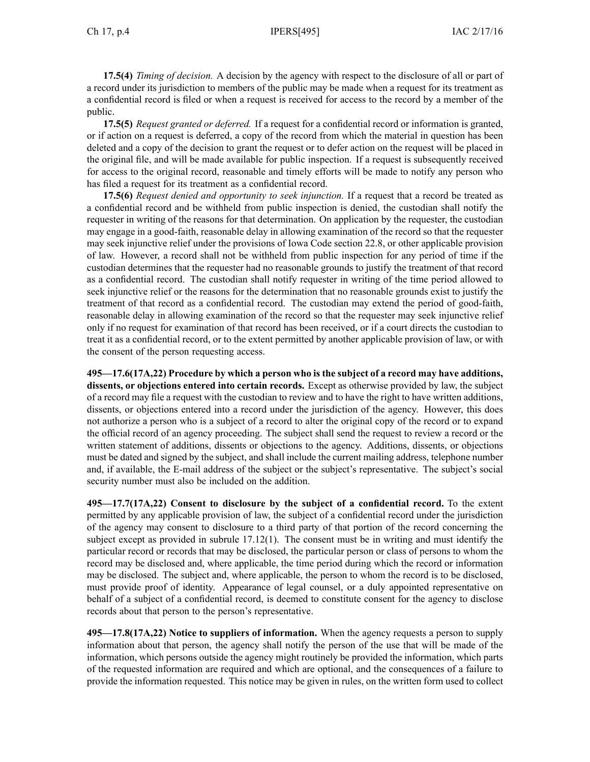**17.5(4)** *Timing of decision.* A decision by the agency with respec<sup>t</sup> to the disclosure of all or par<sup>t</sup> of <sup>a</sup> record under its jurisdiction to members of the public may be made when <sup>a</sup> reques<sup>t</sup> for its treatment as <sup>a</sup> confidential record is filed or when <sup>a</sup> reques<sup>t</sup> is received for access to the record by <sup>a</sup> member of the public.

**17.5(5)** *Request granted or deferred.* If <sup>a</sup> reques<sup>t</sup> for <sup>a</sup> confidential record or information is granted, or if action on <sup>a</sup> reques<sup>t</sup> is deferred, <sup>a</sup> copy of the record from which the material in question has been deleted and <sup>a</sup> copy of the decision to gran<sup>t</sup> the reques<sup>t</sup> or to defer action on the reques<sup>t</sup> will be placed in the original file, and will be made available for public inspection. If <sup>a</sup> reques<sup>t</sup> is subsequently received for access to the original record, reasonable and timely efforts will be made to notify any person who has filed <sup>a</sup> reques<sup>t</sup> for its treatment as <sup>a</sup> confidential record.

**17.5(6)** *Request denied and opportunity to seek injunction.* If <sup>a</sup> reques<sup>t</sup> that <sup>a</sup> record be treated as <sup>a</sup> confidential record and be withheld from public inspection is denied, the custodian shall notify the requester in writing of the reasons for that determination. On application by the requester, the custodian may engage in <sup>a</sup> good-faith, reasonable delay in allowing examination of the record so that the requester may seek injunctive relief under the provisions of Iowa Code section [22.8](https://www.legis.iowa.gov/docs/ico/section/22.8.pdf), or other applicable provision of law. However, <sup>a</sup> record shall not be withheld from public inspection for any period of time if the custodian determines that the requester had no reasonable grounds to justify the treatment of that record as <sup>a</sup> confidential record. The custodian shall notify requester in writing of the time period allowed to seek injunctive relief or the reasons for the determination that no reasonable grounds exist to justify the treatment of that record as <sup>a</sup> confidential record. The custodian may extend the period of good-faith, reasonable delay in allowing examination of the record so that the requester may seek injunctive relief only if no reques<sup>t</sup> for examination of that record has been received, or if <sup>a</sup> court directs the custodian to treat it as <sup>a</sup> confidential record, or to the extent permitted by another applicable provision of law, or with the consent of the person requesting access.

**495—17.6(17A,22) Procedure by which <sup>a</sup> person who is the subject of <sup>a</sup> record may have additions, dissents, or objections entered into certain records.** Except as otherwise provided by law, the subject of <sup>a</sup> record may file <sup>a</sup> reques<sup>t</sup> with the custodian to review and to have the right to have written additions, dissents, or objections entered into <sup>a</sup> record under the jurisdiction of the agency. However, this does not authorize <sup>a</sup> person who is <sup>a</sup> subject of <sup>a</sup> record to alter the original copy of the record or to expand the official record of an agency proceeding. The subject shall send the reques<sup>t</sup> to review <sup>a</sup> record or the written statement of additions, dissents or objections to the agency. Additions, dissents, or objections must be dated and signed by the subject, and shall include the current mailing address, telephone number and, if available, the E-mail address of the subject or the subject's representative. The subject's social security number must also be included on the addition.

**495—17.7(17A,22) Consent to disclosure by the subject of <sup>a</sup> confidential record.** To the extent permitted by any applicable provision of law, the subject of <sup>a</sup> confidential record under the jurisdiction of the agency may consent to disclosure to <sup>a</sup> third party of that portion of the record concerning the subject excep<sup>t</sup> as provided in subrule 17.12(1). The consent must be in writing and must identify the particular record or records that may be disclosed, the particular person or class of persons to whom the record may be disclosed and, where applicable, the time period during which the record or information may be disclosed. The subject and, where applicable, the person to whom the record is to be disclosed, must provide proof of identity. Appearance of legal counsel, or <sup>a</sup> duly appointed representative on behalf of <sup>a</sup> subject of <sup>a</sup> confidential record, is deemed to constitute consent for the agency to disclose records about that person to the person's representative.

**495—17.8(17A,22) Notice to suppliers of information.** When the agency requests <sup>a</sup> person to supply information about that person, the agency shall notify the person of the use that will be made of the information, which persons outside the agency might routinely be provided the information, which parts of the requested information are required and which are optional, and the consequences of <sup>a</sup> failure to provide the information requested. This notice may be given in rules, on the written form used to collect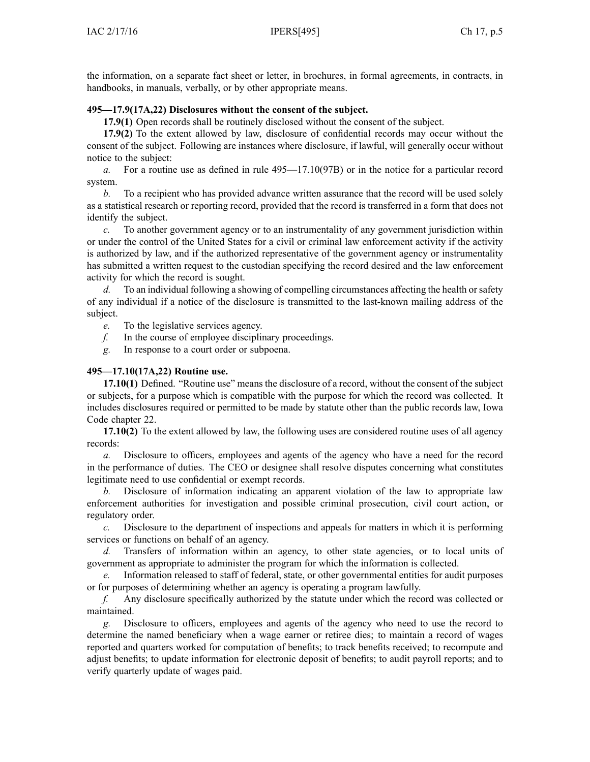the information, on <sup>a</sup> separate fact sheet or letter, in brochures, in formal agreements, in contracts, in handbooks, in manuals, verbally, or by other appropriate means.

#### **495—17.9(17A,22) Disclosures without the consent of the subject.**

**17.9(1)** Open records shall be routinely disclosed without the consent of the subject.

**17.9(2)** To the extent allowed by law, disclosure of confidential records may occur without the consent of the subject. Following are instances where disclosure, if lawful, will generally occur without notice to the subject:

*a.* For <sup>a</sup> routine use as defined in rule 495—17.10(97B) or in the notice for <sup>a</sup> particular record system.

*b.* To <sup>a</sup> recipient who has provided advance written assurance that the record will be used solely as <sup>a</sup> statistical research or reporting record, provided that the record is transferred in <sup>a</sup> form that does not identify the subject.

*c.* To another governmen<sup>t</sup> agency or to an instrumentality of any governmen<sup>t</sup> jurisdiction within or under the control of the United States for <sup>a</sup> civil or criminal law enforcement activity if the activity is authorized by law, and if the authorized representative of the governmen<sup>t</sup> agency or instrumentality has submitted <sup>a</sup> written reques<sup>t</sup> to the custodian specifying the record desired and the law enforcement activity for which the record is sought.

*d.* To an individual following <sup>a</sup> showing of compelling circumstances affecting the health orsafety of any individual if <sup>a</sup> notice of the disclosure is transmitted to the last-known mailing address of the subject.

*e.* To the legislative services agency.

- *f.* In the course of employee disciplinary proceedings.
- *g.* In response to <sup>a</sup> court order or subpoena.

#### **495—17.10(17A,22) Routine use.**

**17.10(1)** Defined. "Routine use" means the disclosure of <sup>a</sup> record, without the consent of the subject or subjects, for <sup>a</sup> purpose which is compatible with the purpose for which the record was collected. It includes disclosures required or permitted to be made by statute other than the public records law, Iowa Code chapter [22](https://www.legis.iowa.gov/docs/ico/chapter/22.pdf).

**17.10(2)** To the extent allowed by law, the following uses are considered routine uses of all agency records:

*a.* Disclosure to officers, employees and agents of the agency who have <sup>a</sup> need for the record in the performance of duties. The CEO or designee shall resolve disputes concerning what constitutes legitimate need to use confidential or exemp<sup>t</sup> records.

*b.* Disclosure of information indicating an apparen<sup>t</sup> violation of the law to appropriate law enforcement authorities for investigation and possible criminal prosecution, civil court action, or regulatory order.

*c.* Disclosure to the department of inspections and appeals for matters in which it is performing services or functions on behalf of an agency.

*d.* Transfers of information within an agency, to other state agencies, or to local units of governmen<sup>t</sup> as appropriate to administer the program for which the information is collected.

*e.* Information released to staff of federal, state, or other governmental entities for audit purposes or for purposes of determining whether an agency is operating <sup>a</sup> program lawfully.

*f.* Any disclosure specifically authorized by the statute under which the record was collected or maintained.

*g.* Disclosure to officers, employees and agents of the agency who need to use the record to determine the named beneficiary when <sup>a</sup> wage earner or retiree dies; to maintain <sup>a</sup> record of wages reported and quarters worked for computation of benefits; to track benefits received; to recompute and adjust benefits; to update information for electronic deposit of benefits; to audit payroll reports; and to verify quarterly update of wages paid.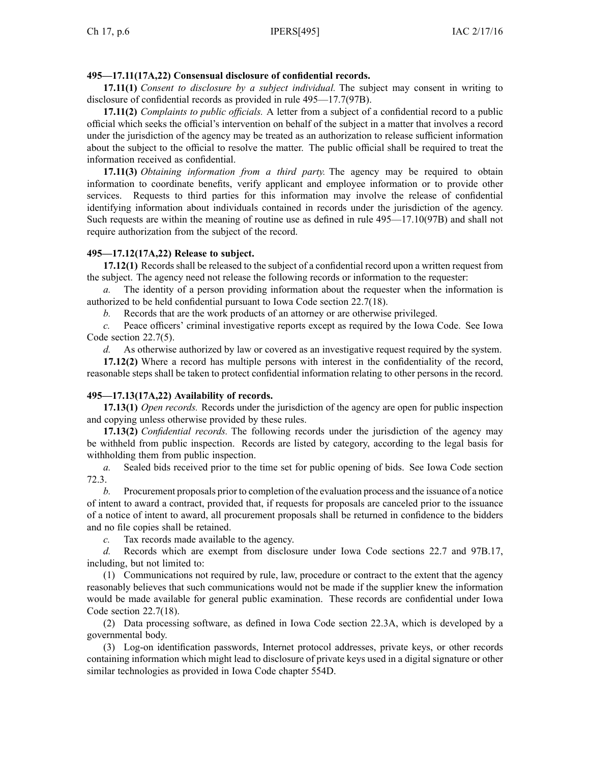## **495—17.11(17A,22) Consensual disclosure of confidential records.**

**17.11(1)** *Consent to disclosure by <sup>a</sup> subject individual.* The subject may consent in writing to disclosure of confidential records as provided in rule 495—17.7(97B).

**17.11(2)** *Complaints to public officials.* A letter from <sup>a</sup> subject of <sup>a</sup> confidential record to <sup>a</sup> public official which seeks the official's intervention on behalf of the subject in <sup>a</sup> matter that involves <sup>a</sup> record under the jurisdiction of the agency may be treated as an authorization to release sufficient information about the subject to the official to resolve the matter. The public official shall be required to treat the information received as confidential.

**17.11(3)** *Obtaining information from <sup>a</sup> third party.* The agency may be required to obtain information to coordinate benefits, verify applicant and employee information or to provide other services. Requests to third parties for this information may involve the release of confidential identifying information about individuals contained in records under the jurisdiction of the agency. Such requests are within the meaning of routine use as defined in rule 495—17.10(97B) and shall not require authorization from the subject of the record.

## **495—17.12(17A,22) Release to subject.**

**17.12(1)** Records shall be released to the subject of <sup>a</sup> confidential record upon <sup>a</sup> written reques<sup>t</sup> from the subject. The agency need not release the following records or information to the requester:

*a.* The identity of <sup>a</sup> person providing information about the requester when the information is authorized to be held confidential pursuan<sup>t</sup> to Iowa Code section [22.7\(18\)](https://www.legis.iowa.gov/docs/ico/section/22.7.pdf).

*b.* Records that are the work products of an attorney or are otherwise privileged.

*c.* Peace officers' criminal investigative reports excep<sup>t</sup> as required by the Iowa Code. See Iowa Code section [22.7\(5\)](https://www.legis.iowa.gov/docs/ico/section/22.7.pdf).

*d.* As otherwise authorized by law or covered as an investigative reques<sup>t</sup> required by the system.

**17.12(2)** Where <sup>a</sup> record has multiple persons with interest in the confidentiality of the record, reasonable steps shall be taken to protect confidential information relating to other persons in the record.

## **495—17.13(17A,22) Availability of records.**

**17.13(1)** *Open records.* Records under the jurisdiction of the agency are open for public inspection and copying unless otherwise provided by these rules.

**17.13(2)** *Confidential records.* The following records under the jurisdiction of the agency may be withheld from public inspection. Records are listed by category, according to the legal basis for withholding them from public inspection.

*a.* Sealed bids received prior to the time set for public opening of bids. See Iowa Code section [72.3](https://www.legis.iowa.gov/docs/ico/section/72.3.pdf).

*b.* Procurement proposals prior to completion of the evaluation process and the issuance of <sup>a</sup> notice of intent to award <sup>a</sup> contract, provided that, if requests for proposals are canceled prior to the issuance of <sup>a</sup> notice of intent to award, all procuremen<sup>t</sup> proposals shall be returned in confidence to the bidders and no file copies shall be retained.

*c.* Tax records made available to the agency.

*d.* Records which are exemp<sup>t</sup> from disclosure under Iowa Code sections [22.7](https://www.legis.iowa.gov/docs/ico/section/22.7.pdf) and [97B.17](https://www.legis.iowa.gov/docs/ico/section/97B.17.pdf), including, but not limited to:

(1) Communications not required by rule, law, procedure or contract to the extent that the agency reasonably believes that such communications would not be made if the supplier knew the information would be made available for general public examination. These records are confidential under Iowa Code section [22.7\(18\)](https://www.legis.iowa.gov/docs/ico/section/22.7.pdf).

(2) Data processing software, as defined in Iowa Code section [22.3A](https://www.legis.iowa.gov/docs/ico/section/22.3A.pdf), which is developed by <sup>a</sup> governmental body.

(3) Log-on identification passwords, Internet protocol addresses, private keys, or other records containing information which might lead to disclosure of private keys used in <sup>a</sup> digital signature or other similar technologies as provided in Iowa Code chapter [554D](https://www.legis.iowa.gov/docs/ico/chapter/554D.pdf).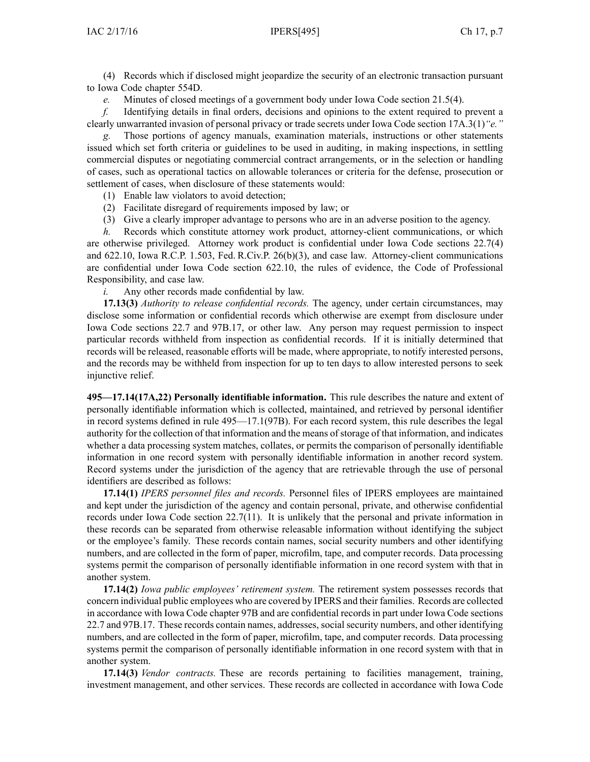(4) Records which if disclosed might jeopardize the security of an electronic transaction pursuan<sup>t</sup> to Iowa Code chapter [554D](https://www.legis.iowa.gov/docs/ico/chapter/554D.pdf).

*e.* Minutes of closed meetings of <sup>a</sup> governmen<sup>t</sup> body under Iowa Code section [21.5\(4\)](https://www.legis.iowa.gov/docs/ico/section/21.5.pdf).

*f.* Identifying details in final orders, decisions and opinions to the extent required to preven<sup>t</sup> <sup>a</sup> clearly unwarranted invasion of personal privacy or trade secrets under Iowa Code section [17A.3\(1\)](https://www.legis.iowa.gov/docs/ico/section/17A.3.pdf)*"e."*

*g.* Those portions of agency manuals, examination materials, instructions or other statements issued which set forth criteria or guidelines to be used in auditing, in making inspections, in settling commercial disputes or negotiating commercial contract arrangements, or in the selection or handling of cases, such as operational tactics on allowable tolerances or criteria for the defense, prosecution or settlement of cases, when disclosure of these statements would:

(1) Enable law violators to avoid detection;

- (2) Facilitate disregard of requirements imposed by law; or
- (3) Give <sup>a</sup> clearly improper advantage to persons who are in an adverse position to the agency.

*h.* Records which constitute attorney work product, attorney-client communications, or which are otherwise privileged. Attorney work product is confidential under Iowa Code sections [22.7\(4\)](https://www.legis.iowa.gov/docs/ico/section/22.7.pdf) and [622.10](https://www.legis.iowa.gov/docs/ico/section/622.10.pdf), Iowa R.C.P. 1.503, Fed. R.Civ.P. 26(b)(3), and case law. Attorney-client communications are confidential under Iowa Code section [622.10](https://www.legis.iowa.gov/docs/ico/section/622.10.pdf), the rules of evidence, the Code of Professional Responsibility, and case law.

*i.* Any other records made confidential by law.

**17.13(3)** *Authority to release confidential records.* The agency, under certain circumstances, may disclose some information or confidential records which otherwise are exemp<sup>t</sup> from disclosure under Iowa Code sections [22.7](https://www.legis.iowa.gov/docs/ico/section/22.7.pdf) and [97B.17](https://www.legis.iowa.gov/docs/ico/section/97B.17.pdf), or other law. Any person may reques<sup>t</sup> permission to inspect particular records withheld from inspection as confidential records. If it is initially determined that records will be released, reasonable efforts will be made, where appropriate, to notify interested persons, and the records may be withheld from inspection for up to ten days to allow interested persons to seek injunctive relief.

**495—17.14(17A,22) Personally identifiable information.** This rule describes the nature and extent of personally identifiable information which is collected, maintained, and retrieved by personal identifier in record systems defined in rule 495—17.1(97B). For each record system, this rule describes the legal authority for the collection of that information and the means ofstorage of that information, and indicates whether <sup>a</sup> data processing system matches, collates, or permits the comparison of personally identifiable information in one record system with personally identifiable information in another record system. Record systems under the jurisdiction of the agency that are retrievable through the use of personal identifiers are described as follows:

**17.14(1)** *IPERS personnel files and records.* Personnel files of IPERS employees are maintained and kept under the jurisdiction of the agency and contain personal, private, and otherwise confidential records under Iowa Code section [22.7\(11\)](https://www.legis.iowa.gov/docs/ico/section/22.7.pdf). It is unlikely that the personal and private information in these records can be separated from otherwise releasable information without identifying the subject or the employee's family. These records contain names, social security numbers and other identifying numbers, and are collected in the form of paper, microfilm, tape, and computer records. Data processing systems permit the comparison of personally identifiable information in one record system with that in another system.

**17.14(2)** *Iowa public employees' retirement system.* The retirement system possesses records that concern individual public employees who are covered by IPERS and their families. Records are collected in accordance with Iowa Code chapter [97B](https://www.legis.iowa.gov/docs/ico/chapter/97B.pdf) and are confidential records in par<sup>t</sup> under Iowa Code sections [22.7](https://www.legis.iowa.gov/docs/ico/section/22.7.pdf) and [97B.17](https://www.legis.iowa.gov/docs/ico/section/97B.17.pdf). These records contain names, addresses, social security numbers, and other identifying numbers, and are collected in the form of paper, microfilm, tape, and computer records. Data processing systems permit the comparison of personally identifiable information in one record system with that in another system.

**17.14(3)** *Vendor contracts.* These are records pertaining to facilities management, training, investment management, and other services. These records are collected in accordance with Iowa Code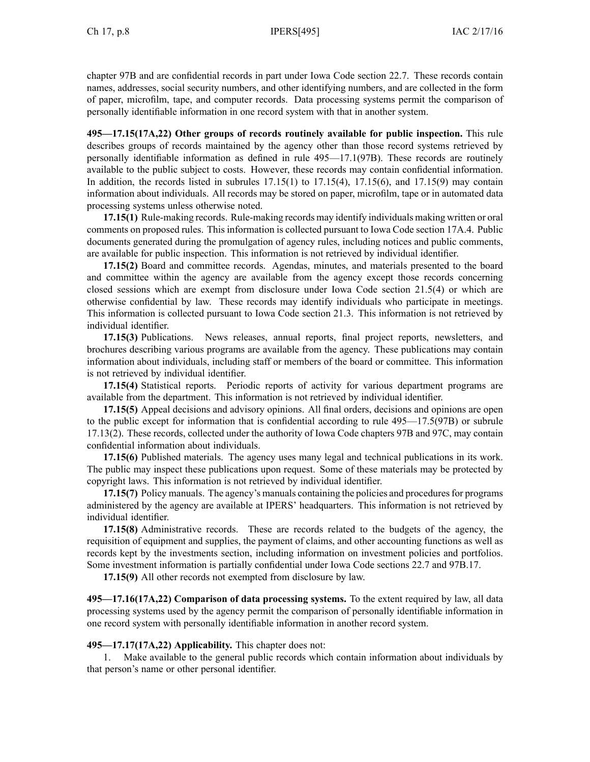chapter [97B](https://www.legis.iowa.gov/docs/ico/chapter/97B.pdf) and are confidential records in par<sup>t</sup> under Iowa Code section [22.7](https://www.legis.iowa.gov/docs/ico/section/22.7.pdf). These records contain names, addresses, social security numbers, and other identifying numbers, and are collected in the form of paper, microfilm, tape, and computer records. Data processing systems permit the comparison of personally identifiable information in one record system with that in another system.

**495—17.15(17A,22) Other groups of records routinely available for public inspection.** This rule describes groups of records maintained by the agency other than those record systems retrieved by personally identifiable information as defined in rule 495—17.1(97B). These records are routinely available to the public subject to costs. However, these records may contain confidential information. In addition, the records listed in subrules  $17.15(1)$  to  $17.15(4)$ ,  $17.15(6)$ , and  $17.15(9)$  may contain information about individuals. All records may be stored on paper, microfilm, tape or in automated data processing systems unless otherwise noted.

**17.15(1)** Rule-making records. Rule-making records may identify individuals making written or oral comments on proposed rules. This information is collected pursuan<sup>t</sup> to Iowa Code section [17A.4](https://www.legis.iowa.gov/docs/ico/section/17A.4.pdf). Public documents generated during the promulgation of agency rules, including notices and public comments, are available for public inspection. This information is not retrieved by individual identifier.

**17.15(2)** Board and committee records. Agendas, minutes, and materials presented to the board and committee within the agency are available from the agency excep<sup>t</sup> those records concerning closed sessions which are exemp<sup>t</sup> from disclosure under Iowa Code section [21.5\(4\)](https://www.legis.iowa.gov/docs/ico/section/21.5.pdf) or which are otherwise confidential by law. These records may identify individuals who participate in meetings. This information is collected pursuan<sup>t</sup> to Iowa Code section [21.3](https://www.legis.iowa.gov/docs/ico/section/21.3.pdf). This information is not retrieved by individual identifier.

**17.15(3)** Publications. News releases, annual reports, final project reports, newsletters, and brochures describing various programs are available from the agency. These publications may contain information about individuals, including staff or members of the board or committee. This information is not retrieved by individual identifier.

**17.15(4)** Statistical reports. Periodic reports of activity for various department programs are available from the department. This information is not retrieved by individual identifier.

**17.15(5)** Appeal decisions and advisory opinions. All final orders, decisions and opinions are open to the public excep<sup>t</sup> for information that is confidential according to rule 495—17.5(97B) or subrule 17.13(2). These records, collected under the authority of Iowa Code chapters [97B](https://www.legis.iowa.gov/docs/ico/chapter/97B.pdf) and [97C](https://www.legis.iowa.gov/docs/ico/chapter/97C.pdf), may contain confidential information about individuals.

**17.15(6)** Published materials. The agency uses many legal and technical publications in its work. The public may inspect these publications upon request. Some of these materials may be protected by copyright laws. This information is not retrieved by individual identifier.

**17.15(7)** Policy manuals. The agency's manuals containing the policies and procedures for programs administered by the agency are available at IPERS' headquarters. This information is not retrieved by individual identifier.

**17.15(8)** Administrative records. These are records related to the budgets of the agency, the requisition of equipment and supplies, the paymen<sup>t</sup> of claims, and other accounting functions as well as records kept by the investments section, including information on investment policies and portfolios. Some investment information is partially confidential under Iowa Code sections [22.7](https://www.legis.iowa.gov/docs/ico/section/22.7.pdf) and [97B.17](https://www.legis.iowa.gov/docs/ico/section/97B.17.pdf).

**17.15(9)** All other records not exempted from disclosure by law.

**495—17.16(17A,22) Comparison of data processing systems.** To the extent required by law, all data processing systems used by the agency permit the comparison of personally identifiable information in one record system with personally identifiable information in another record system.

**495—17.17(17A,22) Applicability.** This chapter does not:

1. Make available to the general public records which contain information about individuals by that person's name or other personal identifier.